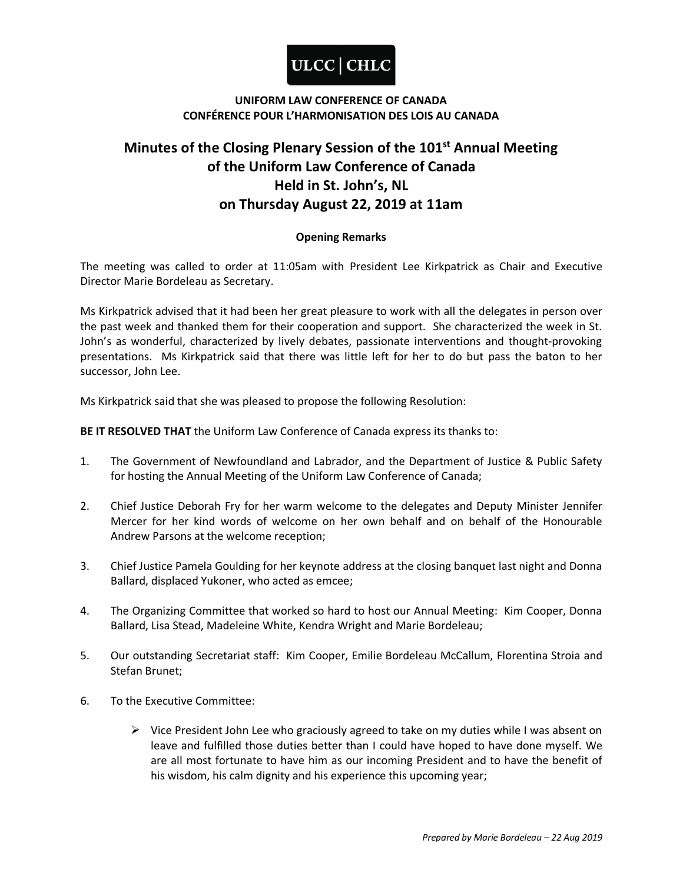

# **Minutes of the Closing Plenary Session of the 101st Annual Meeting of the Uniform Law Conference of Canada Held in St. John's, NL on Thursday August 22, 2019 at 11am**

### **Opening Remarks**

The meeting was called to order at 11:05am with President Lee Kirkpatrick as Chair and Executive Director Marie Bordeleau as Secretary.

Ms Kirkpatrick advised that it had been her great pleasure to work with all the delegates in person over the past week and thanked them for their cooperation and support. She characterized the week in St. John's as wonderful, characterized by lively debates, passionate interventions and thought-provoking presentations. Ms Kirkpatrick said that there was little left for her to do but pass the baton to her successor, John Lee.

Ms Kirkpatrick said that she was pleased to propose the following Resolution:

**BE IT RESOLVED THAT** the Uniform Law Conference of Canada express its thanks to:

- 1. The Government of Newfoundland and Labrador, and the Department of Justice & Public Safety for hosting the Annual Meeting of the Uniform Law Conference of Canada;
- 2. Chief Justice Deborah Fry for her warm welcome to the delegates and Deputy Minister Jennifer Mercer for her kind words of welcome on her own behalf and on behalf of the Honourable Andrew Parsons at the welcome reception;
- 3. Chief Justice Pamela Goulding for her keynote address at the closing banquet last night and Donna Ballard, displaced Yukoner, who acted as emcee;
- 4. The Organizing Committee that worked so hard to host our Annual Meeting: Kim Cooper, Donna Ballard, Lisa Stead, Madeleine White, Kendra Wright and Marie Bordeleau;
- 5. Our outstanding Secretariat staff: Kim Cooper, Emilie Bordeleau McCallum, Florentina Stroia and Stefan Brunet;
- 6. To the Executive Committee:
	- $\triangleright$  Vice President John Lee who graciously agreed to take on my duties while I was absent on leave and fulfilled those duties better than I could have hoped to have done myself. We are all most fortunate to have him as our incoming President and to have the benefit of his wisdom, his calm dignity and his experience this upcoming year;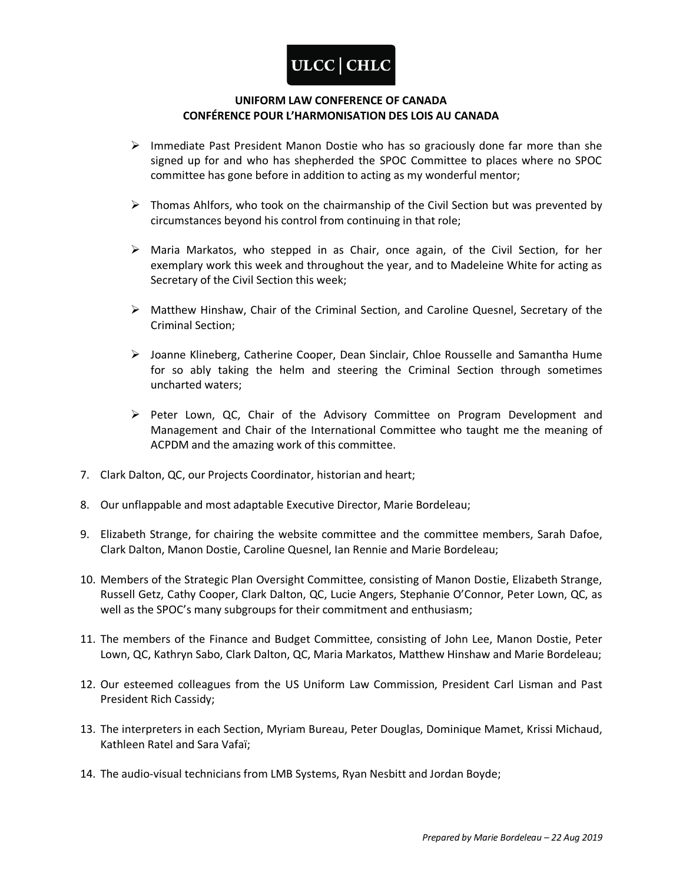

- $\triangleright$  Immediate Past President Manon Dostie who has so graciously done far more than she signed up for and who has shepherded the SPOC Committee to places where no SPOC committee has gone before in addition to acting as my wonderful mentor;
- $\triangleright$  Thomas Ahlfors, who took on the chairmanship of the Civil Section but was prevented by circumstances beyond his control from continuing in that role;
- $\triangleright$  Maria Markatos, who stepped in as Chair, once again, of the Civil Section, for her exemplary work this week and throughout the year, and to Madeleine White for acting as Secretary of the Civil Section this week;
- $\triangleright$  Matthew Hinshaw, Chair of the Criminal Section, and Caroline Quesnel, Secretary of the Criminal Section;
- Joanne Klineberg, Catherine Cooper, Dean Sinclair, Chloe Rousselle and Samantha Hume for so ably taking the helm and steering the Criminal Section through sometimes uncharted waters;
- $\triangleright$  Peter Lown, QC, Chair of the Advisory Committee on Program Development and Management and Chair of the International Committee who taught me the meaning of ACPDM and the amazing work of this committee.
- 7. Clark Dalton, QC, our Projects Coordinator, historian and heart;
- 8. Our unflappable and most adaptable Executive Director, Marie Bordeleau;
- 9. Elizabeth Strange, for chairing the website committee and the committee members, Sarah Dafoe, Clark Dalton, Manon Dostie, Caroline Quesnel, Ian Rennie and Marie Bordeleau;
- 10. Members of the Strategic Plan Oversight Committee, consisting of Manon Dostie, Elizabeth Strange, Russell Getz, Cathy Cooper, Clark Dalton, QC, Lucie Angers, Stephanie O'Connor, Peter Lown, QC, as well as the SPOC's many subgroups for their commitment and enthusiasm;
- 11. The members of the Finance and Budget Committee, consisting of John Lee, Manon Dostie, Peter Lown, QC, Kathryn Sabo, Clark Dalton, QC, Maria Markatos, Matthew Hinshaw and Marie Bordeleau;
- 12. Our esteemed colleagues from the US Uniform Law Commission, President Carl Lisman and Past President Rich Cassidy;
- 13. The interpreters in each Section, Myriam Bureau, Peter Douglas, Dominique Mamet, Krissi Michaud, Kathleen Ratel and Sara Vafaï;
- 14. The audio-visual technicians from LMB Systems, Ryan Nesbitt and Jordan Boyde;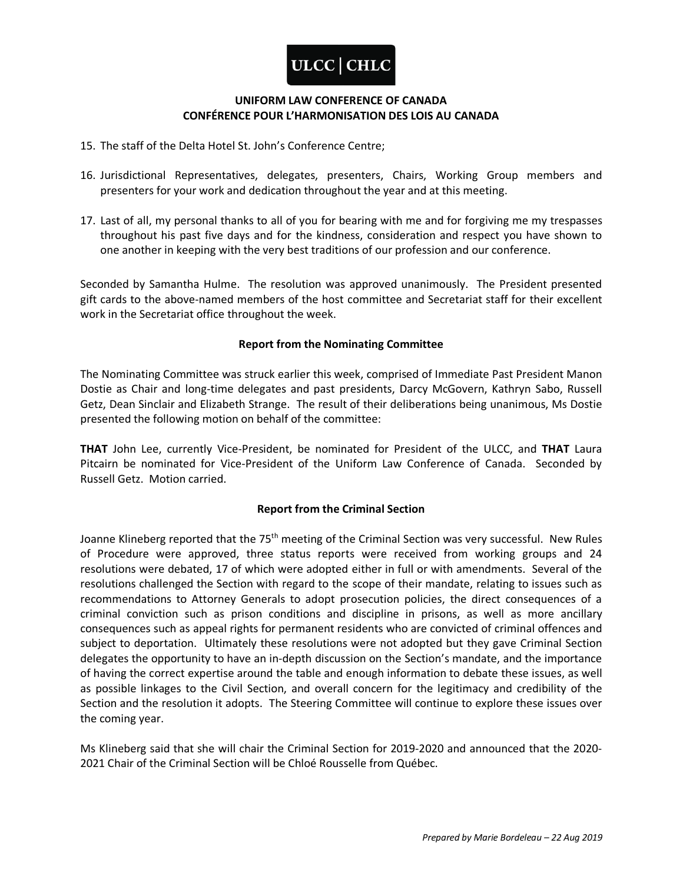

- 15. The staff of the Delta Hotel St. John's Conference Centre;
- 16. Jurisdictional Representatives, delegates, presenters, Chairs, Working Group members and presenters for your work and dedication throughout the year and at this meeting.
- 17. Last of all, my personal thanks to all of you for bearing with me and for forgiving me my trespasses throughout his past five days and for the kindness, consideration and respect you have shown to one another in keeping with the very best traditions of our profession and our conference.

Seconded by Samantha Hulme. The resolution was approved unanimously. The President presented gift cards to the above-named members of the host committee and Secretariat staff for their excellent work in the Secretariat office throughout the week.

### **Report from the Nominating Committee**

The Nominating Committee was struck earlier this week, comprised of Immediate Past President Manon Dostie as Chair and long-time delegates and past presidents, Darcy McGovern, Kathryn Sabo, Russell Getz, Dean Sinclair and Elizabeth Strange. The result of their deliberations being unanimous, Ms Dostie presented the following motion on behalf of the committee:

**THAT** John Lee, currently Vice-President, be nominated for President of the ULCC, and **THAT** Laura Pitcairn be nominated for Vice-President of the Uniform Law Conference of Canada. Seconded by Russell Getz. Motion carried.

### **Report from the Criminal Section**

Joanne Klineberg reported that the 75<sup>th</sup> meeting of the Criminal Section was very successful. New Rules of Procedure were approved, three status reports were received from working groups and 24 resolutions were debated, 17 of which were adopted either in full or with amendments. Several of the resolutions challenged the Section with regard to the scope of their mandate, relating to issues such as recommendations to Attorney Generals to adopt prosecution policies, the direct consequences of a criminal conviction such as prison conditions and discipline in prisons, as well as more ancillary consequences such as appeal rights for permanent residents who are convicted of criminal offences and subject to deportation. Ultimately these resolutions were not adopted but they gave Criminal Section delegates the opportunity to have an in-depth discussion on the Section's mandate, and the importance of having the correct expertise around the table and enough information to debate these issues, as well as possible linkages to the Civil Section, and overall concern for the legitimacy and credibility of the Section and the resolution it adopts. The Steering Committee will continue to explore these issues over the coming year.

Ms Klineberg said that she will chair the Criminal Section for 2019-2020 and announced that the 2020- 2021 Chair of the Criminal Section will be Chloé Rousselle from Québec.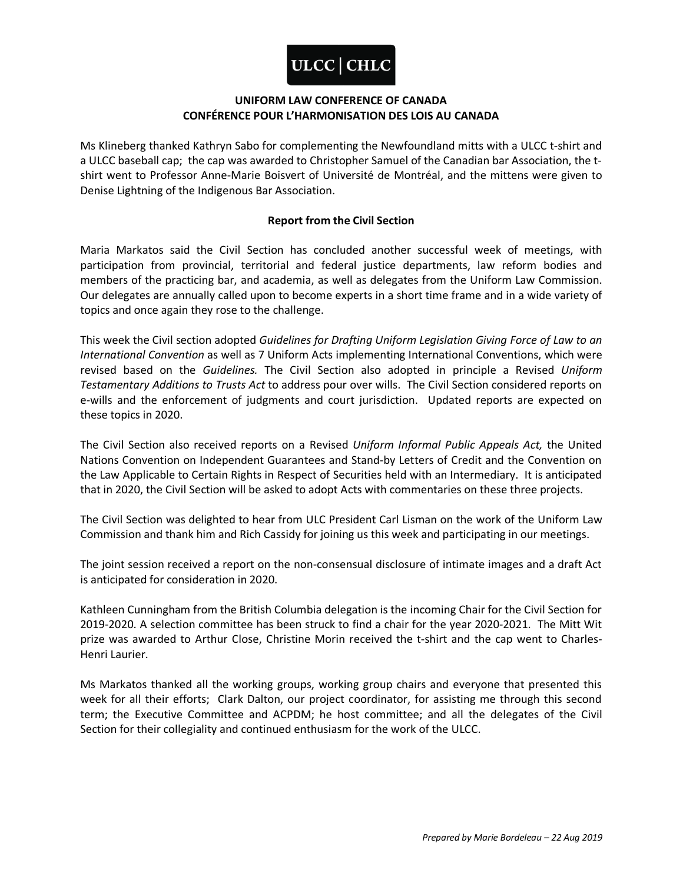

Ms Klineberg thanked Kathryn Sabo for complementing the Newfoundland mitts with a ULCC t-shirt and a ULCC baseball cap; the cap was awarded to Christopher Samuel of the Canadian bar Association, the tshirt went to Professor Anne-Marie Boisvert of Université de Montréal, and the mittens were given to Denise Lightning of the Indigenous Bar Association.

### **Report from the Civil Section**

Maria Markatos said the Civil Section has concluded another successful week of meetings, with participation from provincial, territorial and federal justice departments, law reform bodies and members of the practicing bar, and academia, as well as delegates from the Uniform Law Commission. Our delegates are annually called upon to become experts in a short time frame and in a wide variety of topics and once again they rose to the challenge.

This week the Civil section adopted *Guidelines for Drafting Uniform Legislation Giving Force of Law to an International Convention* as well as 7 Uniform Acts implementing International Conventions, which were revised based on the *Guidelines.* The Civil Section also adopted in principle a Revised *Uniform Testamentary Additions to Trusts Act* to address pour over wills. The Civil Section considered reports on e-wills and the enforcement of judgments and court jurisdiction. Updated reports are expected on these topics in 2020.

The Civil Section also received reports on a Revised *Uniform Informal Public Appeals Act,* the United Nations Convention on Independent Guarantees and Stand-by Letters of Credit and the Convention on the Law Applicable to Certain Rights in Respect of Securities held with an Intermediary. It is anticipated that in 2020, the Civil Section will be asked to adopt Acts with commentaries on these three projects.

The Civil Section was delighted to hear from ULC President Carl Lisman on the work of the Uniform Law Commission and thank him and Rich Cassidy for joining us this week and participating in our meetings.

The joint session received a report on the non-consensual disclosure of intimate images and a draft Act is anticipated for consideration in 2020.

Kathleen Cunningham from the British Columbia delegation is the incoming Chair for the Civil Section for 2019-2020. A selection committee has been struck to find a chair for the year 2020-2021. The Mitt Wit prize was awarded to Arthur Close, Christine Morin received the t-shirt and the cap went to Charles-Henri Laurier.

Ms Markatos thanked all the working groups, working group chairs and everyone that presented this week for all their efforts; Clark Dalton, our project coordinator, for assisting me through this second term; the Executive Committee and ACPDM; he host committee; and all the delegates of the Civil Section for their collegiality and continued enthusiasm for the work of the ULCC.